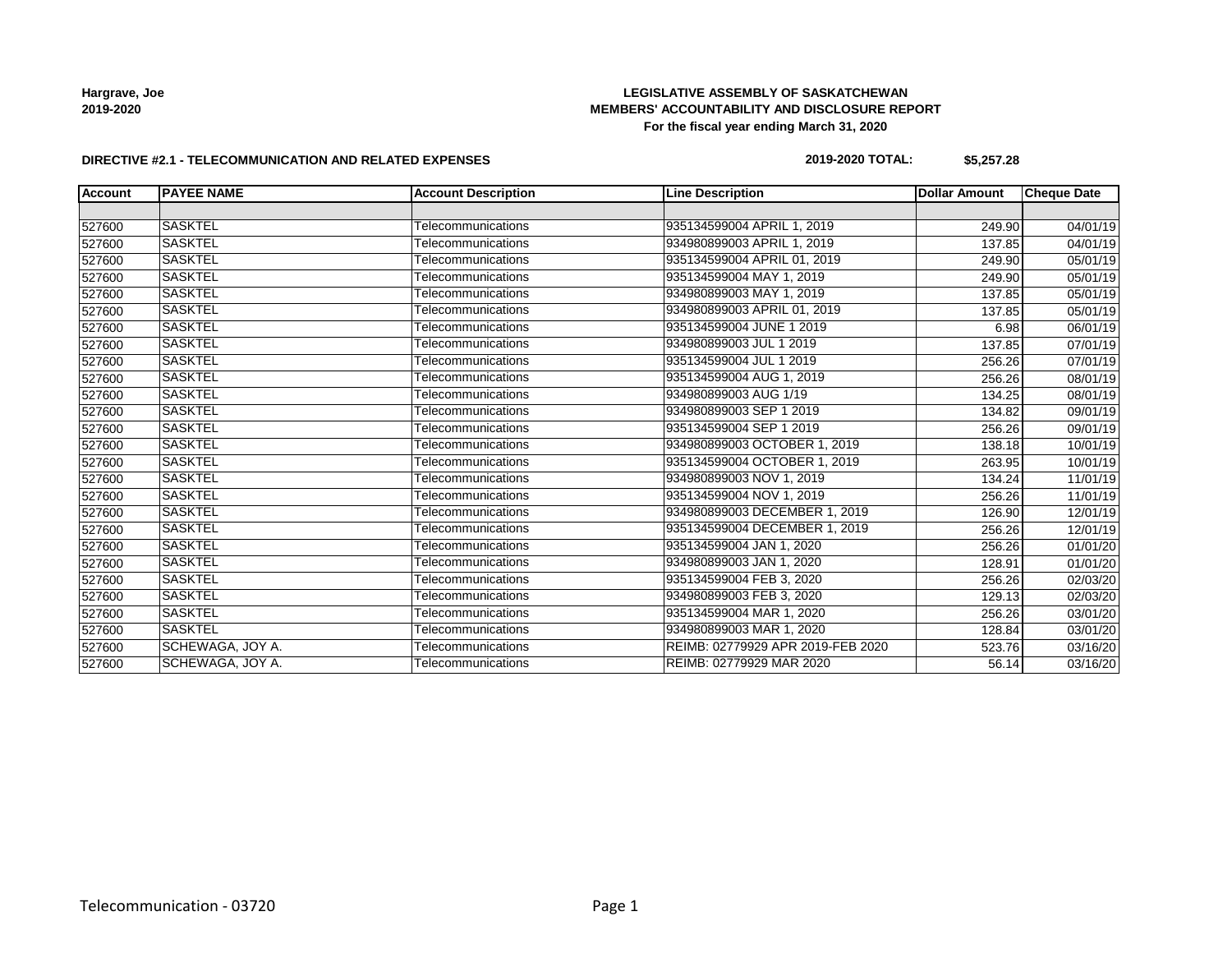### **LEGISLATIVE ASSEMBLY OF SASKATCHEWAN MEMBERS' ACCOUNTABILITY AND DISCLOSURE REPORT For the fiscal year ending March 31, 2020**

#### **DIRECTIVE #2.1 - TELECOMMUNICATION AND RELATED EXPENSES**

#### **2019-2020 TOTAL: \$5,257.28**

| <b>Account</b> | <b>PAYEE NAME</b> | <b>Account Description</b> | <b>Line Description</b>           | <b>Dollar Amount</b> | <b>Cheque Date</b> |
|----------------|-------------------|----------------------------|-----------------------------------|----------------------|--------------------|
|                |                   |                            |                                   |                      |                    |
| 527600         | <b>SASKTEL</b>    | Telecommunications         | 935134599004 APRIL 1, 2019        | 249.90               | 04/01/19           |
| 527600         | <b>SASKTEL</b>    | Telecommunications         | 934980899003 APRIL 1, 2019        | 137.85               | 04/01/19           |
| 527600         | <b>SASKTEL</b>    | Telecommunications         | 935134599004 APRIL 01, 2019       | 249.90               | 05/01/19           |
| 527600         | <b>SASKTEL</b>    | Telecommunications         | 935134599004 MAY 1, 2019          | 249.90               | 05/01/19           |
| 527600         | <b>SASKTEL</b>    | Telecommunications         | 934980899003 MAY 1, 2019          | 137.85               | 05/01/19           |
| 527600         | <b>SASKTEL</b>    | Telecommunications         | 934980899003 APRIL 01, 2019       | 137.85               | 05/01/19           |
| 527600         | <b>SASKTEL</b>    | Telecommunications         | 935134599004 JUNE 1 2019          | 6.98                 | 06/01/19           |
| 527600         | <b>SASKTEL</b>    | Telecommunications         | 934980899003 JUL 1 2019           | 137.85               | 07/01/19           |
| 527600         | <b>SASKTEL</b>    | Telecommunications         | 935134599004 JUL 1 2019           | 256.26               | 07/01/19           |
| 527600         | <b>SASKTEL</b>    | Telecommunications         | 935134599004 AUG 1, 2019          | 256.26               | 08/01/19           |
| 527600         | <b>SASKTEL</b>    | Telecommunications         | 934980899003 AUG 1/19             | 134.25               | 08/01/19           |
| 527600         | <b>SASKTEL</b>    | Telecommunications         | 934980899003 SEP 1 2019           | 134.82               | 09/01/19           |
| 527600         | <b>SASKTEL</b>    | Telecommunications         | 935134599004 SEP 1 2019           | 256.26               | 09/01/19           |
| 527600         | <b>SASKTEL</b>    | Telecommunications         | 934980899003 OCTOBER 1, 2019      | 138.18               | 10/01/19           |
| 527600         | <b>SASKTEL</b>    | Telecommunications         | 935134599004 OCTOBER 1, 2019      | 263.95               | 10/01/19           |
| 527600         | <b>SASKTEL</b>    | Telecommunications         | 934980899003 NOV 1, 2019          | 134.24               | 11/01/19           |
| 527600         | <b>SASKTEL</b>    | Telecommunications         | 935134599004 NOV 1, 2019          | 256.26               | 11/01/19           |
| 527600         | <b>SASKTEL</b>    | Telecommunications         | 934980899003 DECEMBER 1, 2019     | 126.90               | 12/01/19           |
| 527600         | <b>SASKTEL</b>    | Telecommunications         | 935134599004 DECEMBER 1, 2019     | 256.26               | 12/01/19           |
| 527600         | <b>SASKTEL</b>    | Telecommunications         | 935134599004 JAN 1, 2020          | 256.26               | 01/01/20           |
| 527600         | <b>SASKTEL</b>    | Telecommunications         | 934980899003 JAN 1, 2020          | 128.91               | 01/01/20           |
| 527600         | <b>SASKTEL</b>    | Telecommunications         | 935134599004 FEB 3, 2020          | 256.26               | 02/03/20           |
| 527600         | <b>SASKTEL</b>    | Telecommunications         | 934980899003 FEB 3, 2020          | 129.13               | 02/03/20           |
| 527600         | <b>SASKTEL</b>    | Telecommunications         | 935134599004 MAR 1, 2020          | 256.26               | 03/01/20           |
| 527600         | <b>SASKTEL</b>    | Telecommunications         | 934980899003 MAR 1, 2020          | 128.84               | 03/01/20           |
| 527600         | SCHEWAGA, JOY A.  | Telecommunications         | REIMB: 02779929 APR 2019-FEB 2020 | 523.76               | 03/16/20           |
| 527600         | SCHEWAGA, JOY A.  | Telecommunications         | REIMB: 02779929 MAR 2020          | 56.14                | 03/16/20           |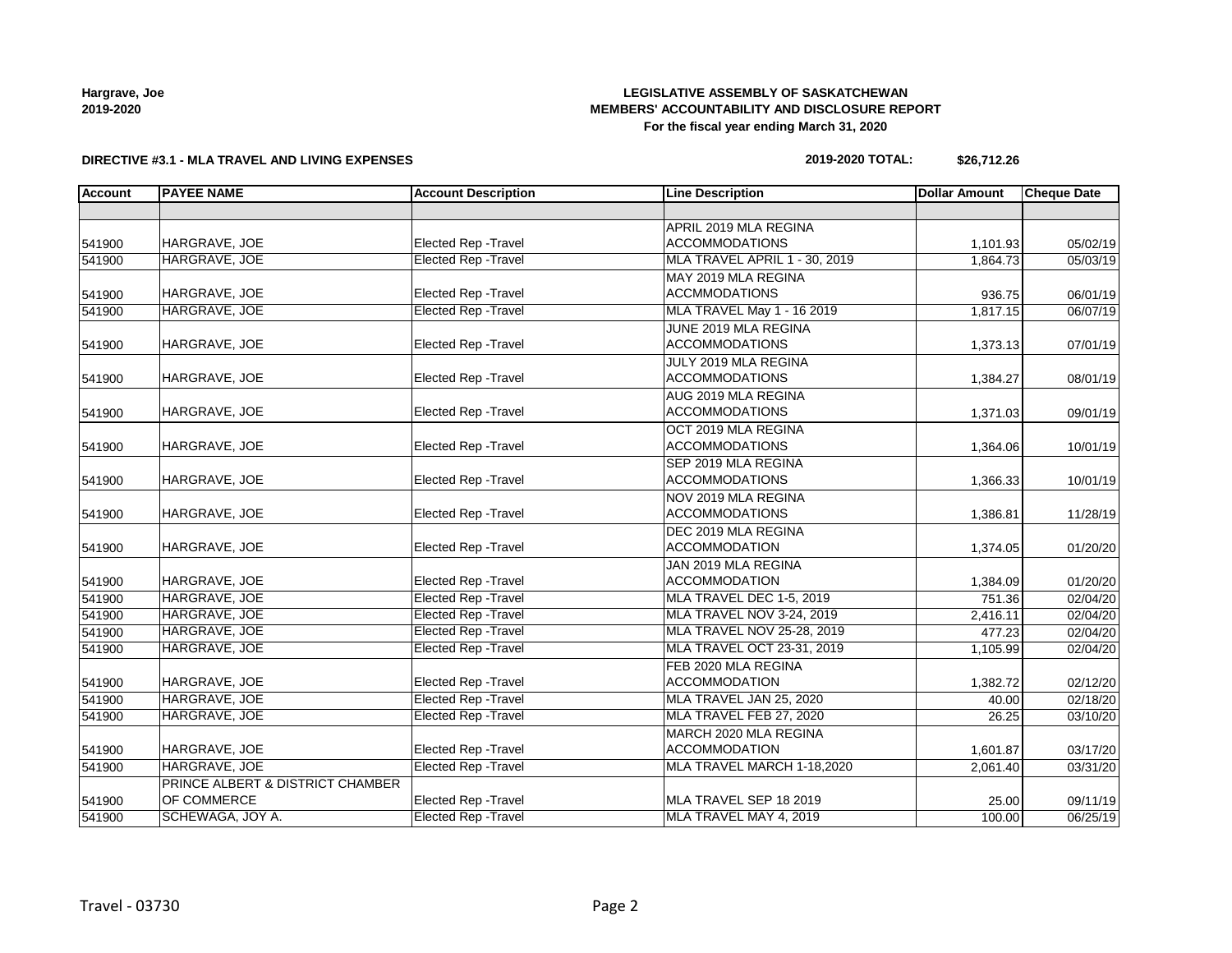### **LEGISLATIVE ASSEMBLY OF SASKATCHEWAN MEMBERS' ACCOUNTABILITY AND DISCLOSURE REPORT For the fiscal year ending March 31, 2020**

### **DIRECTIVE #3.1 - MLA TRAVEL AND LIVING EXPENSES**

#### **2019-2020 TOTAL: \$26,712.26**

| <b>Account</b> | <b>PAYEE NAME</b>                | <b>Account Description</b>  | <b>Line Description</b>       | <b>Dollar Amount</b> | <b>Cheque Date</b> |
|----------------|----------------------------------|-----------------------------|-------------------------------|----------------------|--------------------|
|                |                                  |                             |                               |                      |                    |
|                |                                  |                             | APRIL 2019 MLA REGINA         |                      |                    |
| 541900         | HARGRAVE, JOE                    | <b>Elected Rep - Travel</b> | <b>ACCOMMODATIONS</b>         | 1,101.93             | 05/02/19           |
| 541900         | HARGRAVE, JOE                    | <b>Elected Rep - Travel</b> | MLA TRAVEL APRIL 1 - 30, 2019 | 1,864.73             | 05/03/19           |
|                |                                  |                             | MAY 2019 MLA REGINA           |                      |                    |
| 541900         | HARGRAVE, JOE                    | Elected Rep - Travel        | <b>ACCMMODATIONS</b>          | 936.75               | 06/01/19           |
| 541900         | HARGRAVE, JOE                    | <b>Elected Rep - Travel</b> | MLA TRAVEL May 1 - 16 2019    | 1,817.15             | 06/07/19           |
|                |                                  |                             | JUNE 2019 MLA REGINA          |                      |                    |
| 541900         | HARGRAVE, JOE                    | Elected Rep - Travel        | <b>ACCOMMODATIONS</b>         | 1,373.13             | 07/01/19           |
|                |                                  |                             | JULY 2019 MLA REGINA          |                      |                    |
| 541900         | HARGRAVE, JOE                    | Elected Rep - Travel        | <b>ACCOMMODATIONS</b>         | 1,384.27             | 08/01/19           |
|                |                                  |                             | AUG 2019 MLA REGINA           |                      |                    |
| 541900         | HARGRAVE, JOE                    | Elected Rep - Travel        | <b>ACCOMMODATIONS</b>         | 1,371.03             | 09/01/19           |
|                |                                  |                             | OCT 2019 MLA REGINA           |                      |                    |
| 541900         | HARGRAVE, JOE                    | Elected Rep - Travel        | <b>ACCOMMODATIONS</b>         | 1,364.06             | 10/01/19           |
|                |                                  |                             | SEP 2019 MLA REGINA           |                      |                    |
| 541900         | HARGRAVE, JOE                    | Elected Rep - Travel        | <b>ACCOMMODATIONS</b>         | 1,366.33             | 10/01/19           |
|                |                                  |                             | NOV 2019 MLA REGINA           |                      |                    |
| 541900         | HARGRAVE, JOE                    | Elected Rep - Travel        | <b>ACCOMMODATIONS</b>         | 1,386.81             | 11/28/19           |
|                |                                  |                             | DEC 2019 MLA REGINA           |                      |                    |
| 541900         | HARGRAVE, JOE                    | Elected Rep - Travel        | <b>ACCOMMODATION</b>          | 1,374.05             | 01/20/20           |
|                |                                  |                             | JAN 2019 MLA REGINA           |                      |                    |
| 541900         | HARGRAVE, JOE                    | <b>Elected Rep - Travel</b> | <b>ACCOMMODATION</b>          | 1,384.09             | 01/20/20           |
| 541900         | HARGRAVE, JOE                    | <b>Elected Rep - Travel</b> | MLA TRAVEL DEC 1-5, 2019      | 751.36               | 02/04/20           |
| 541900         | HARGRAVE, JOE                    | <b>Elected Rep - Travel</b> | MLA TRAVEL NOV 3-24, 2019     | 2,416.11             | 02/04/20           |
| 541900         | HARGRAVE, JOE                    | <b>Elected Rep - Travel</b> | MLA TRAVEL NOV 25-28, 2019    | 477.23               | 02/04/20           |
| 541900         | HARGRAVE, JOE                    | <b>Elected Rep - Travel</b> | MLA TRAVEL OCT 23-31, 2019    | 1,105.99             | 02/04/20           |
|                |                                  |                             | FEB 2020 MLA REGINA           |                      |                    |
| 541900         | HARGRAVE, JOE                    | Elected Rep - Travel        | <b>ACCOMMODATION</b>          | 1,382.72             | 02/12/20           |
| 541900         | HARGRAVE, JOE                    | Elected Rep - Travel        | MLA TRAVEL JAN 25, 2020       | 40.00                | 02/18/20           |
| 541900         | HARGRAVE, JOE                    | <b>Elected Rep - Travel</b> | MLA TRAVEL FEB 27, 2020       | 26.25                | 03/10/20           |
|                |                                  |                             | MARCH 2020 MLA REGINA         |                      |                    |
| 541900         | HARGRAVE, JOE                    | Elected Rep - Travel        | <b>ACCOMMODATION</b>          | 1,601.87             | 03/17/20           |
| 541900         | HARGRAVE, JOE                    | Elected Rep - Travel        | MLA TRAVEL MARCH 1-18,2020    | 2,061.40             | 03/31/20           |
|                | PRINCE ALBERT & DISTRICT CHAMBER |                             |                               |                      |                    |
| 541900         | OF COMMERCE                      | Elected Rep - Travel        | MLA TRAVEL SEP 18 2019        | 25.00                | 09/11/19           |
| 541900         | SCHEWAGA, JOY A.                 | <b>Elected Rep - Travel</b> | MLA TRAVEL MAY 4, 2019        | 100.00               | 06/25/19           |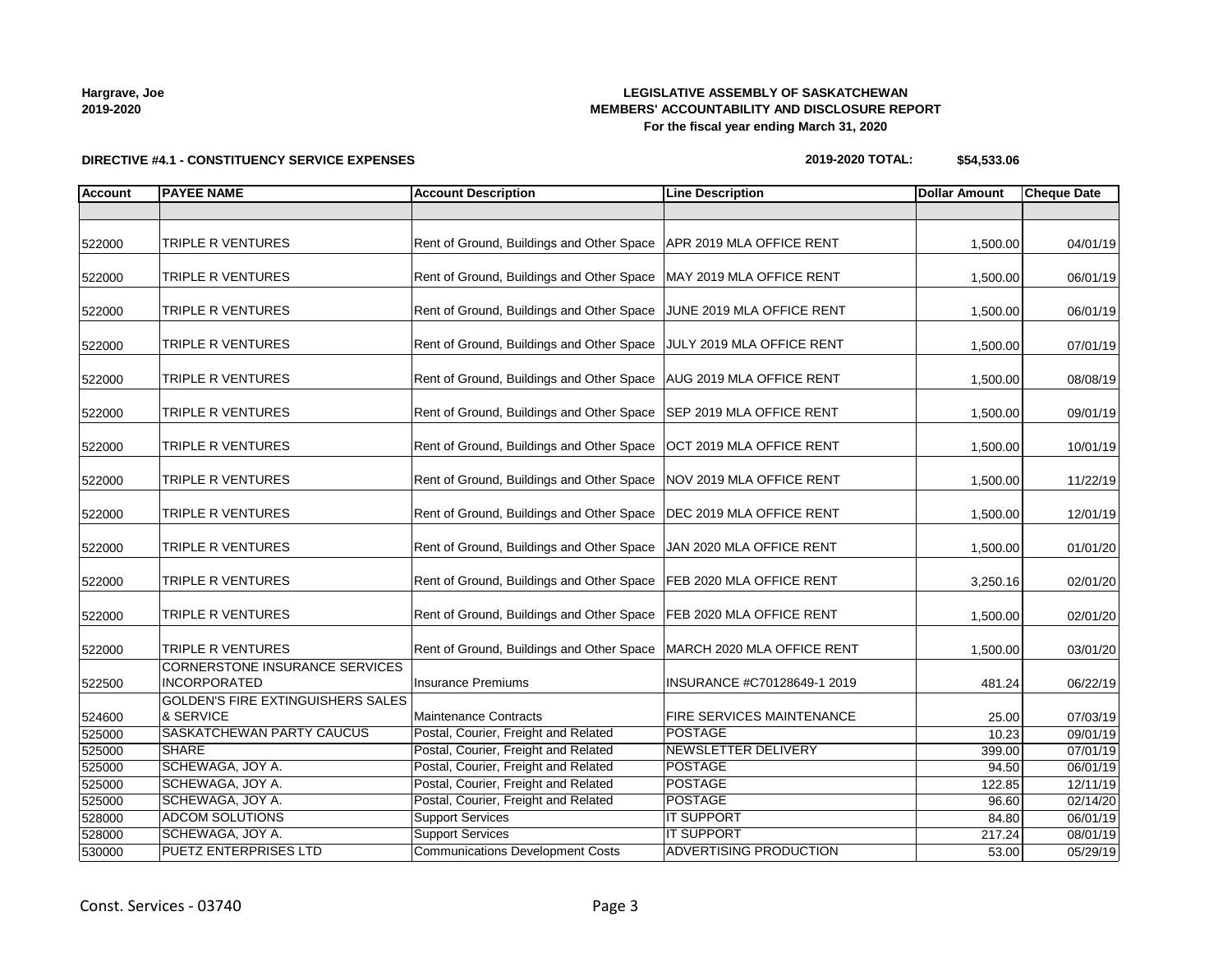### **LEGISLATIVE ASSEMBLY OF SASKATCHEWAN MEMBERS' ACCOUNTABILITY AND DISCLOSURE REPORT For the fiscal year ending March 31, 2020**

# **DIRECTIVE #4.1 - CONSTITUENCY SERVICE EXPENSES**

| 2019-2020 TOTAL: | \$54,533.06 |
|------------------|-------------|
|------------------|-------------|

| Account | <b>PAYEE NAME</b>                                            | <b>Account Description</b>                | <b>Line Description</b>       | <b>Dollar Amount</b> | <b>Cheque Date</b> |
|---------|--------------------------------------------------------------|-------------------------------------------|-------------------------------|----------------------|--------------------|
|         |                                                              |                                           |                               |                      |                    |
|         |                                                              |                                           |                               |                      |                    |
| 522000  | TRIPLE R VENTURES                                            | Rent of Ground, Buildings and Other Space | APR 2019 MLA OFFICE RENT      | 1,500.00             | 04/01/19           |
| 522000  | TRIPLE R VENTURES                                            | Rent of Ground, Buildings and Other Space | MAY 2019 MLA OFFICE RENT      | 1,500.00             | 06/01/19           |
|         |                                                              |                                           |                               |                      |                    |
| 522000  | TRIPLE R VENTURES                                            | Rent of Ground, Buildings and Other Space | JUNE 2019 MLA OFFICE RENT     | 1,500.00             | 06/01/19           |
| 522000  | TRIPLE R VENTURES                                            | Rent of Ground, Buildings and Other Space | JULY 2019 MLA OFFICE RENT     | 1,500.00             | 07/01/19           |
| 522000  | TRIPLE R VENTURES                                            | Rent of Ground, Buildings and Other Space | AUG 2019 MLA OFFICE RENT      | 1,500.00             | 08/08/19           |
| 522000  | TRIPLE R VENTURES                                            | Rent of Ground, Buildings and Other Space | SEP 2019 MLA OFFICE RENT      | 1,500.00             | 09/01/19           |
| 522000  | TRIPLE R VENTURES                                            | Rent of Ground, Buildings and Other Space | OCT 2019 MLA OFFICE RENT      | 1,500.00             | 10/01/19           |
|         |                                                              |                                           |                               |                      |                    |
| 522000  | TRIPLE R VENTURES                                            | Rent of Ground, Buildings and Other Space | NOV 2019 MLA OFFICE RENT      | 1,500.00             | 11/22/19           |
| 522000  | TRIPLE R VENTURES                                            | Rent of Ground, Buildings and Other Space | DEC 2019 MLA OFFICE RENT      | 1,500.00             | 12/01/19           |
| 522000  | TRIPLE R VENTURES                                            | Rent of Ground, Buildings and Other Space | JAN 2020 MLA OFFICE RENT      | 1,500.00             | 01/01/20           |
| 522000  | TRIPLE R VENTURES                                            | Rent of Ground, Buildings and Other Space | FEB 2020 MLA OFFICE RENT      | 3,250.16             | 02/01/20           |
| 522000  | TRIPLE R VENTURES                                            | Rent of Ground, Buildings and Other Space | FEB 2020 MLA OFFICE RENT      | 1,500.00             | 02/01/20           |
| 522000  | TRIPLE R VENTURES                                            | Rent of Ground, Buildings and Other Space | MARCH 2020 MLA OFFICE RENT    | 1,500.00             | 03/01/20           |
| 522500  | <b>CORNERSTONE INSURANCE SERVICES</b><br><b>INCORPORATED</b> | <b>Insurance Premiums</b>                 | INSURANCE #C70128649-1 2019   | 481.24               | 06/22/19           |
|         | <b>GOLDEN'S FIRE EXTINGUISHERS SALES</b>                     |                                           |                               |                      |                    |
| 524600  | & SERVICE                                                    | Maintenance Contracts                     | FIRE SERVICES MAINTENANCE     | 25.00                | 07/03/19           |
| 525000  | SASKATCHEWAN PARTY CAUCUS                                    | Postal, Courier, Freight and Related      | <b>POSTAGE</b>                | 10.23                | 09/01/19           |
| 525000  | <b>SHARE</b>                                                 | Postal, Courier, Freight and Related      | <b>NEWSLETTER DELIVERY</b>    | 399.00               | 07/01/19           |
| 525000  | SCHEWAGA, JOY A.                                             | Postal, Courier, Freight and Related      | <b>POSTAGE</b>                | 94.50                | 06/01/19           |
| 525000  | SCHEWAGA, JOY A.                                             | Postal, Courier, Freight and Related      | <b>POSTAGE</b>                | 122.85               | 12/11/19           |
| 525000  | SCHEWAGA, JOY A.                                             | Postal, Courier, Freight and Related      | <b>POSTAGE</b>                | 96.60                | 02/14/20           |
| 528000  | <b>ADCOM SOLUTIONS</b>                                       | <b>Support Services</b>                   | <b>IT SUPPORT</b>             | 84.80                | 06/01/19           |
| 528000  | SCHEWAGA, JOY A.                                             | <b>Support Services</b>                   | <b>IT SUPPORT</b>             | 217.24               | 08/01/19           |
| 530000  | <b>PUETZ ENTERPRISES LTD</b>                                 | <b>Communications Development Costs</b>   | <b>ADVERTISING PRODUCTION</b> | 53.00                | 05/29/19           |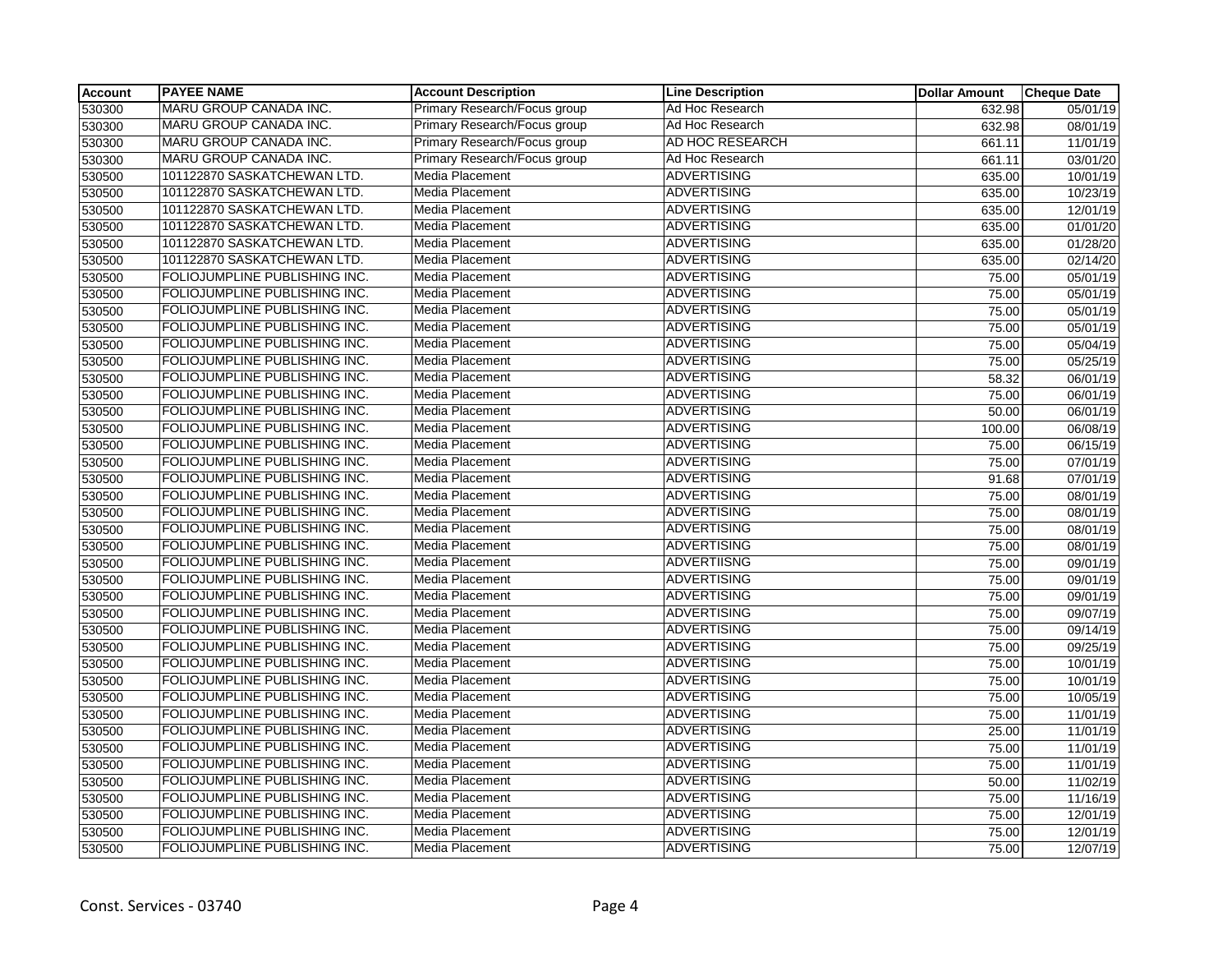| <b>Account</b> | <b>PAYEE NAME</b>             | <b>Account Description</b>   | <b>Line Description</b> | <b>Dollar Amount</b> | <b>Cheque Date</b> |
|----------------|-------------------------------|------------------------------|-------------------------|----------------------|--------------------|
| 530300         | MARU GROUP CANADA INC.        | Primary Research/Focus group | Ad Hoc Research         | 632.98               | 05/01/19           |
| 530300         | MARU GROUP CANADA INC.        | Primary Research/Focus group | Ad Hoc Research         | 632.98               | 08/01/19           |
| 530300         | MARU GROUP CANADA INC.        | Primary Research/Focus group | AD HOC RESEARCH         | 661.11               | 11/01/19           |
| 530300         | <b>MARU GROUP CANADA INC.</b> | Primary Research/Focus group | Ad Hoc Research         | 661.11               | 03/01/20           |
| 530500         | 101122870 SASKATCHEWAN LTD.   | <b>Media Placement</b>       | <b>ADVERTISING</b>      | 635.00               | 10/01/19           |
| 530500         | 101122870 SASKATCHEWAN LTD.   | Media Placement              | <b>ADVERTISING</b>      | 635.00               | 10/23/19           |
| 530500         | 101122870 SASKATCHEWAN LTD.   | Media Placement              | <b>ADVERTISING</b>      | 635.00               | 12/01/19           |
| 530500         | 101122870 SASKATCHEWAN LTD.   | Media Placement              | <b>ADVERTISING</b>      | 635.00               | 01/01/20           |
| 530500         | 101122870 SASKATCHEWAN LTD.   | Media Placement              | <b>ADVERTISING</b>      | 635.00               | 01/28/20           |
| 530500         | 101122870 SASKATCHEWAN LTD.   | Media Placement              | <b>ADVERTISING</b>      | 635.00               | 02/14/20           |
| 530500         | FOLIOJUMPLINE PUBLISHING INC. | Media Placement              | <b>ADVERTISING</b>      | 75.00                | 05/01/19           |
| 530500         | FOLIOJUMPLINE PUBLISHING INC. | Media Placement              | <b>ADVERTISING</b>      | 75.00                | 05/01/19           |
| 530500         | FOLIOJUMPLINE PUBLISHING INC. | <b>Media Placement</b>       | <b>ADVERTISING</b>      | 75.00                | 05/01/19           |
| 530500         | FOLIOJUMPLINE PUBLISHING INC. | Media Placement              | <b>ADVERTISING</b>      | 75.00                | 05/01/19           |
| 530500         | FOLIOJUMPLINE PUBLISHING INC. | Media Placement              | <b>ADVERTISING</b>      | 75.00                | 05/04/19           |
| 530500         | FOLIOJUMPLINE PUBLISHING INC. | Media Placement              | <b>ADVERTISING</b>      | 75.00                | 05/25/19           |
| 530500         | FOLIOJUMPLINE PUBLISHING INC. | <b>Media Placement</b>       | <b>ADVERTISING</b>      | 58.32                | 06/01/19           |
| 530500         | FOLIOJUMPLINE PUBLISHING INC. | Media Placement              | <b>ADVERTISING</b>      | 75.00                | 06/01/19           |
| 530500         | FOLIOJUMPLINE PUBLISHING INC. | Media Placement              | <b>ADVERTISING</b>      | 50.00                | 06/01/19           |
| 530500         | FOLIOJUMPLINE PUBLISHING INC. | Media Placement              | <b>ADVERTISING</b>      | 100.00               | 06/08/19           |
| 530500         | FOLIOJUMPLINE PUBLISHING INC. | Media Placement              | <b>ADVERTISING</b>      | 75.00                | 06/15/19           |
| 530500         | FOLIOJUMPLINE PUBLISHING INC. | Media Placement              | <b>ADVERTISING</b>      | 75.00                | 07/01/19           |
| 530500         | FOLIOJUMPLINE PUBLISHING INC. | Media Placement              | <b>ADVERTISING</b>      | 91.68                | 07/01/19           |
| 530500         | FOLIOJUMPLINE PUBLISHING INC. | Media Placement              | <b>ADVERTISING</b>      | 75.00                | 08/01/19           |
| 530500         | FOLIOJUMPLINE PUBLISHING INC. | Media Placement              | <b>ADVERTISING</b>      | 75.00                | 08/01/19           |
| 530500         | FOLIOJUMPLINE PUBLISHING INC. | Media Placement              | <b>ADVERTISING</b>      | 75.00                | 08/01/19           |
| 530500         | FOLIOJUMPLINE PUBLISHING INC. | Media Placement              | <b>ADVERTISING</b>      | 75.00                | 08/01/19           |
| 530500         | FOLIOJUMPLINE PUBLISHING INC. | Media Placement              | <b>ADVERTIISNG</b>      | 75.00                | 09/01/19           |
| 530500         | FOLIOJUMPLINE PUBLISHING INC. | Media Placement              | <b>ADVERTISING</b>      | 75.00                | 09/01/19           |
| 530500         | FOLIOJUMPLINE PUBLISHING INC. | Media Placement              | <b>ADVERTISING</b>      | 75.00                | 09/01/19           |
| 530500         | FOLIOJUMPLINE PUBLISHING INC. | Media Placement              | <b>ADVERTISING</b>      | 75.00                | 09/07/19           |
| 530500         | FOLIOJUMPLINE PUBLISHING INC. | Media Placement              | <b>ADVERTISING</b>      | 75.00                | 09/14/19           |
| 530500         | FOLIOJUMPLINE PUBLISHING INC. | Media Placement              | <b>ADVERTISING</b>      | 75.00                | 09/25/19           |
| 530500         | FOLIOJUMPLINE PUBLISHING INC. | Media Placement              | <b>ADVERTISING</b>      | 75.00                | 10/01/19           |
| 530500         | FOLIOJUMPLINE PUBLISHING INC. | Media Placement              | <b>ADVERTISING</b>      | 75.00                | 10/01/19           |
| 530500         | FOLIOJUMPLINE PUBLISHING INC. | Media Placement              | <b>ADVERTISING</b>      | 75.00                | 10/05/19           |
| 530500         | FOLIOJUMPLINE PUBLISHING INC. | Media Placement              | <b>ADVERTISING</b>      | 75.00                | 11/01/19           |
| 530500         | FOLIOJUMPLINE PUBLISHING INC. | Media Placement              | <b>ADVERTISING</b>      | 25.00                | 11/01/19           |
| 530500         | FOLIOJUMPLINE PUBLISHING INC. | <b>Media Placement</b>       | <b>ADVERTISING</b>      | 75.00                | 11/01/19           |
| 530500         | FOLIOJUMPLINE PUBLISHING INC. | Media Placement              | <b>ADVERTISING</b>      | 75.00                | 11/01/19           |
| 530500         | FOLIOJUMPLINE PUBLISHING INC. | Media Placement              | <b>ADVERTISING</b>      | 50.00                | 11/02/19           |
| 530500         | FOLIOJUMPLINE PUBLISHING INC. | Media Placement              | <b>ADVERTISING</b>      | 75.00                | 11/16/19           |
| 530500         | FOLIOJUMPLINE PUBLISHING INC. | Media Placement              | <b>ADVERTISING</b>      | 75.00                | 12/01/19           |
| 530500         | FOLIOJUMPLINE PUBLISHING INC. | Media Placement              | <b>ADVERTISING</b>      | 75.00                | 12/01/19           |
| 530500         | FOLIOJUMPLINE PUBLISHING INC. | Media Placement              | <b>ADVERTISING</b>      | 75.00                | 12/07/19           |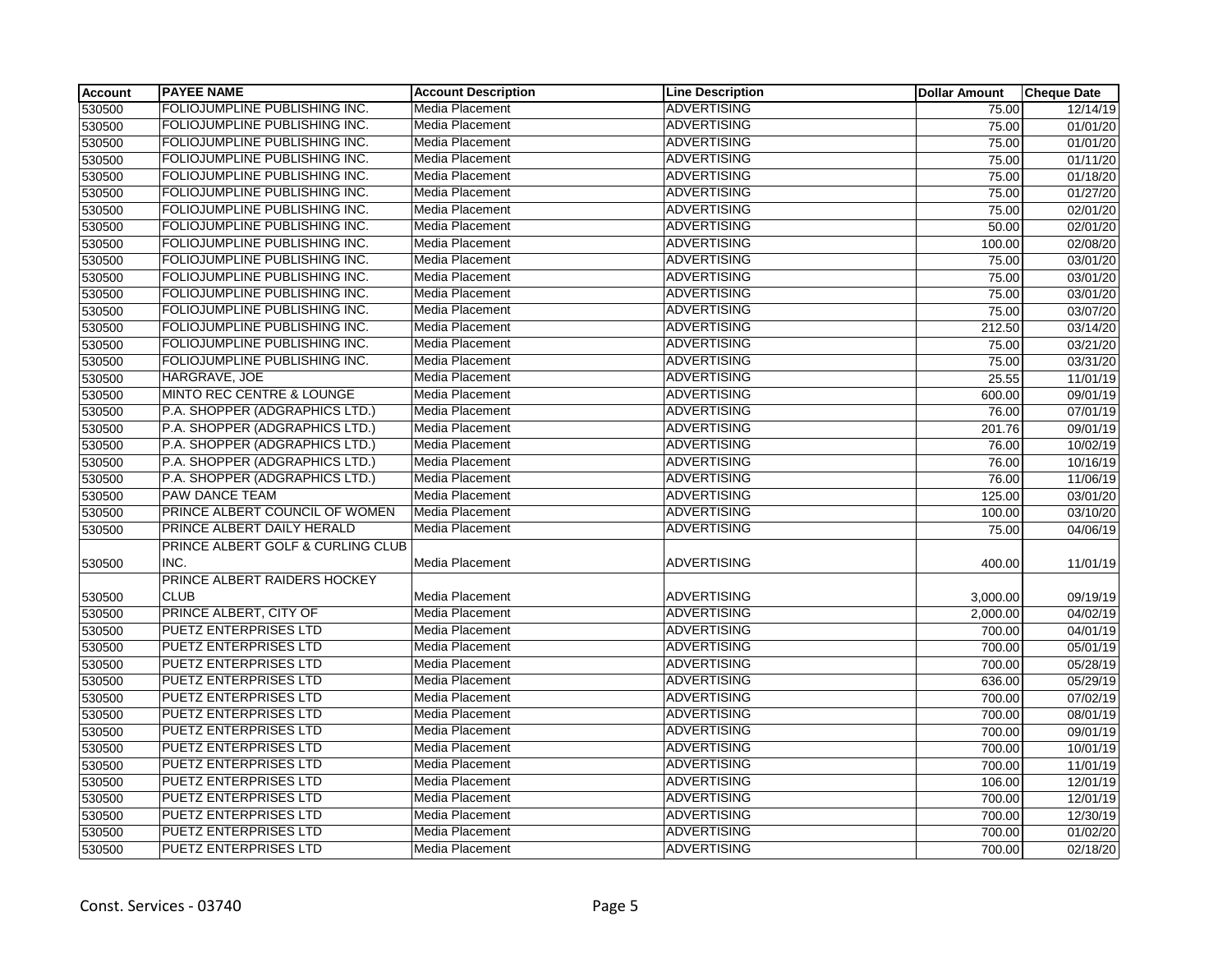| <b>Account</b> | <b>PAYEE NAME</b>                    | <b>Account Description</b> | <b>Line Description</b> | <b>Dollar Amount</b> | <b>Cheque Date</b> |
|----------------|--------------------------------------|----------------------------|-------------------------|----------------------|--------------------|
| 530500         | FOLIOJUMPLINE PUBLISHING INC.        | <b>Media Placement</b>     | ADVERTISING             | 75.00                | 12/14/19           |
| 530500         | FOLIOJUMPLINE PUBLISHING INC.        | Media Placement            | <b>ADVERTISING</b>      | 75.00                | 01/01/20           |
| 530500         | FOLIOJUMPLINE PUBLISHING INC.        | Media Placement            | <b>ADVERTISING</b>      | 75.00                | 01/01/20           |
| 530500         | FOLIOJUMPLINE PUBLISHING INC.        | Media Placement            | <b>ADVERTISING</b>      | 75.00                | 01/11/20           |
| 530500         | FOLIOJUMPLINE PUBLISHING INC.        | Media Placement            | <b>ADVERTISING</b>      | 75.00                | 01/18/20           |
| 530500         | FOLIOJUMPLINE PUBLISHING INC.        | Media Placement            | <b>ADVERTISING</b>      | 75.00                | 01/27/20           |
| 530500         | FOLIOJUMPLINE PUBLISHING INC.        | Media Placement            | <b>ADVERTISING</b>      | 75.00                | 02/01/20           |
| 530500         | FOLIOJUMPLINE PUBLISHING INC.        | Media Placement            | <b>ADVERTISING</b>      | 50.00                | 02/01/20           |
| 530500         | FOLIOJUMPLINE PUBLISHING INC.        | Media Placement            | <b>ADVERTISING</b>      | 100.00               | 02/08/20           |
| 530500         | FOLIOJUMPLINE PUBLISHING INC.        | Media Placement            | <b>ADVERTISING</b>      | 75.00                | 03/01/20           |
| 530500         | FOLIOJUMPLINE PUBLISHING INC.        | Media Placement            | <b>ADVERTISING</b>      | 75.00                | 03/01/20           |
| 530500         | FOLIOJUMPLINE PUBLISHING INC.        | Media Placement            | <b>ADVERTISING</b>      | 75.00                | 03/01/20           |
| 530500         | FOLIOJUMPLINE PUBLISHING INC.        | <b>Media Placement</b>     | <b>ADVERTISING</b>      | 75.00                | 03/07/20           |
| 530500         | FOLIOJUMPLINE PUBLISHING INC.        | Media Placement            | <b>ADVERTISING</b>      | 212.50               | 03/14/20           |
| 530500         | FOLIOJUMPLINE PUBLISHING INC.        | Media Placement            | <b>ADVERTISING</b>      | 75.00                | 03/21/20           |
| 530500         | FOLIOJUMPLINE PUBLISHING INC.        | Media Placement            | <b>ADVERTISING</b>      | 75.00                | 03/31/20           |
| 530500         | HARGRAVE, JOE                        | Media Placement            | <b>ADVERTISING</b>      | 25.55                | 11/01/19           |
| 530500         | <b>MINTO REC CENTRE &amp; LOUNGE</b> | Media Placement            | <b>ADVERTISING</b>      | 600.00               | 09/01/19           |
| 530500         | P.A. SHOPPER (ADGRAPHICS LTD.)       | Media Placement            | <b>ADVERTISING</b>      | 76.00                | 07/01/19           |
| 530500         | P.A. SHOPPER (ADGRAPHICS LTD.)       | <b>Media Placement</b>     | <b>ADVERTISING</b>      | 201.76               | 09/01/19           |
| 530500         | P.A. SHOPPER (ADGRAPHICS LTD.)       | Media Placement            | <b>ADVERTISING</b>      | 76.00                | 10/02/19           |
| 530500         | P.A. SHOPPER (ADGRAPHICS LTD.)       | Media Placement            | <b>ADVERTISING</b>      | 76.00                | 10/16/19           |
| 530500         | P.A. SHOPPER (ADGRAPHICS LTD.)       | Media Placement            | <b>ADVERTISING</b>      | 76.00                | 11/06/19           |
| 530500         | PAW DANCE TEAM                       | Media Placement            | <b>ADVERTISING</b>      | 125.00               | 03/01/20           |
| 530500         | PRINCE ALBERT COUNCIL OF WOMEN       | <b>Media Placement</b>     | <b>ADVERTISING</b>      | 100.00               | 03/10/20           |
| 530500         | PRINCE ALBERT DAILY HERALD           | Media Placement            | <b>ADVERTISING</b>      | 75.00                | 04/06/19           |
|                | PRINCE ALBERT GOLF & CURLING CLUB    |                            |                         |                      |                    |
| 530500         | INC.                                 | Media Placement            | <b>ADVERTISING</b>      | 400.00               | 11/01/19           |
|                | PRINCE ALBERT RAIDERS HOCKEY         |                            |                         |                      |                    |
| 530500         | <b>CLUB</b>                          | <b>Media Placement</b>     | <b>ADVERTISING</b>      | 3,000.00             | 09/19/19           |
| 530500         | PRINCE ALBERT, CITY OF               | <b>Media Placement</b>     | <b>ADVERTISING</b>      | 2,000.00             | 04/02/19           |
| 530500         | PUETZ ENTERPRISES LTD                | Media Placement            | <b>ADVERTISING</b>      | 700.00               | 04/01/19           |
| 530500         | <b>PUETZ ENTERPRISES LTD</b>         | Media Placement            | <b>ADVERTISING</b>      | 700.00               | 05/01/19           |
| 530500         | PUETZ ENTERPRISES LTD                | Media Placement            | <b>ADVERTISING</b>      | 700.00               | 05/28/19           |
| 530500         | <b>PUETZ ENTERPRISES LTD</b>         | Media Placement            | <b>ADVERTISING</b>      | 636.00               | 05/29/19           |
| 530500         | PUETZ ENTERPRISES LTD                | Media Placement            | <b>ADVERTISING</b>      | 700.00               | 07/02/19           |
| 530500         | <b>PUETZ ENTERPRISES LTD</b>         | <b>Media Placement</b>     | <b>ADVERTISING</b>      | 700.00               | 08/01/19           |
| 530500         | <b>PUETZ ENTERPRISES LTD</b>         | Media Placement            | <b>ADVERTISING</b>      | 700.00               | 09/01/19           |
| 530500         | PUETZ ENTERPRISES LTD                | Media Placement            | <b>ADVERTISING</b>      | 700.00               | 10/01/19           |
| 530500         | PUETZ ENTERPRISES LTD                | Media Placement            | <b>ADVERTISING</b>      | 700.00               | 11/01/19           |
| 530500         | <b>PUETZ ENTERPRISES LTD</b>         | Media Placement            | <b>ADVERTISING</b>      | 106.00               | 12/01/19           |
| 530500         | <b>PUETZ ENTERPRISES LTD</b>         | Media Placement            | <b>ADVERTISING</b>      | 700.00               | 12/01/19           |
| 530500         | PUETZ ENTERPRISES LTD                | Media Placement            | <b>ADVERTISING</b>      | 700.00               | 12/30/19           |
| 530500         | PUETZ ENTERPRISES LTD                | Media Placement            | <b>ADVERTISING</b>      | 700.00               | 01/02/20           |
| 530500         | PUETZ ENTERPRISES LTD                | Media Placement            | <b>ADVERTISING</b>      | 700.00               | 02/18/20           |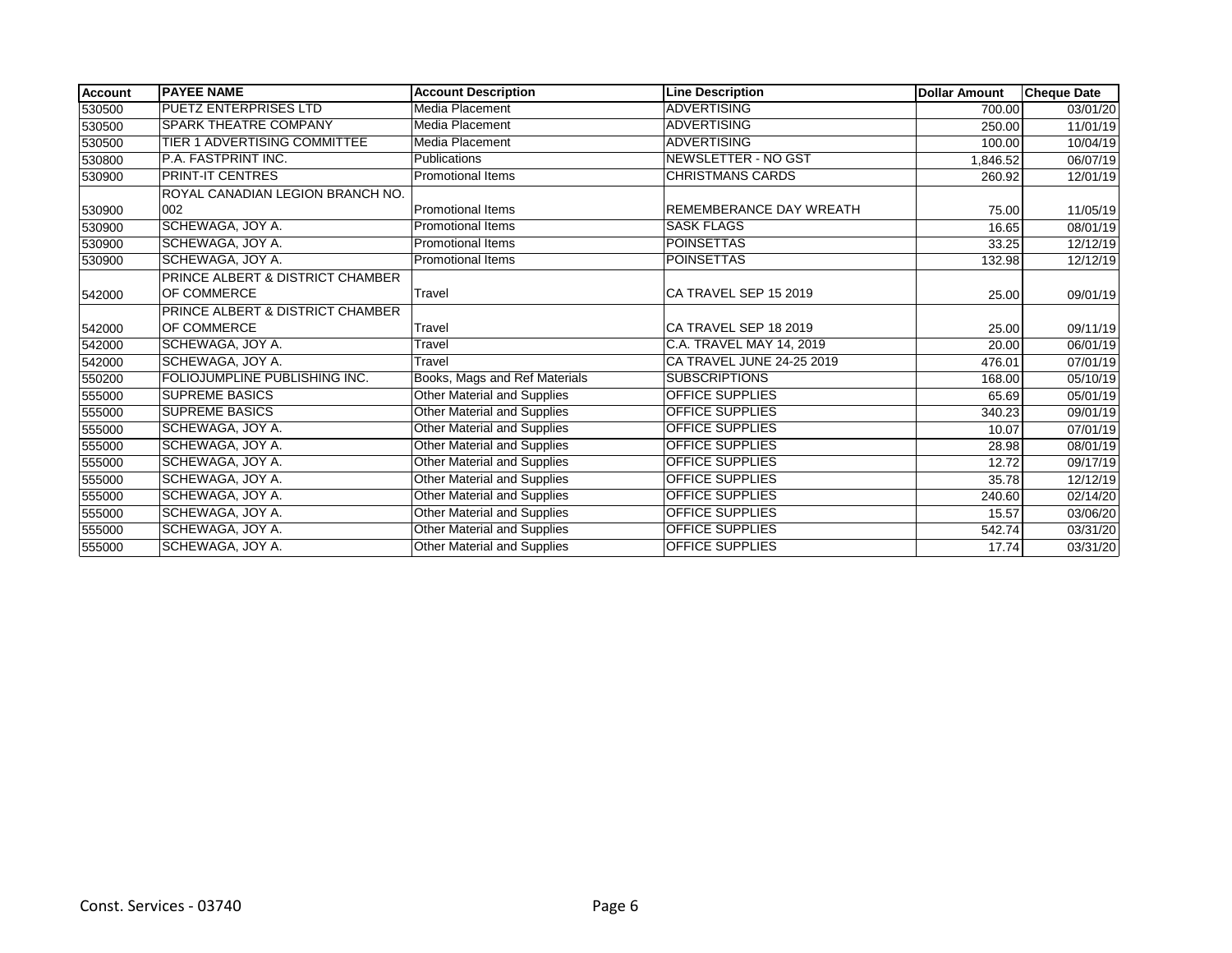| <b>Account</b> | <b>PAYEE NAME</b>                    | <b>Account Description</b>         | <b>Line Description</b>   | <b>Dollar Amount</b> | <b>Cheque Date</b> |
|----------------|--------------------------------------|------------------------------------|---------------------------|----------------------|--------------------|
| 530500         | <b>PUETZ ENTERPRISES LTD</b>         | Media Placement                    | <b>ADVERTISING</b>        | 700.00               | 03/01/20           |
| 530500         | <b>SPARK THEATRE COMPANY</b>         | Media Placement                    | <b>ADVERTISING</b>        | 250.00               | 11/01/19           |
| 530500         | <b>TIER 1 ADVERTISING COMMITTEE</b>  | Media Placement                    | <b>ADVERTISING</b>        | 100.00               | 10/04/19           |
| 530800         | P.A. FASTPRINT INC.                  | <b>Publications</b>                | NEWSLETTER - NO GST       | 1,846.52             | 06/07/19           |
| 530900         | <b>PRINT-IT CENTRES</b>              | <b>Promotional Items</b>           | <b>CHRISTMANS CARDS</b>   | 260.92               | 12/01/19           |
|                | ROYAL CANADIAN LEGION BRANCH NO.     |                                    |                           |                      |                    |
| 530900         | 002                                  | Promotional Items                  | REMEMBERANCE DAY WREATH   | 75.00                | 11/05/19           |
| 530900         | SCHEWAGA, JOY A.                     | <b>Promotional Items</b>           | <b>SASK FLAGS</b>         | 16.65                | 08/01/19           |
| 530900         | <b>SCHEWAGA, JOY A.</b>              | <b>Promotional Items</b>           | <b>POINSETTAS</b>         | 33.25                | 12/12/19           |
| 530900         | SCHEWAGA, JOY A.                     | <b>Promotional Items</b>           | <b>POINSETTAS</b>         | 132.98               | 12/12/19           |
|                | PRINCE ALBERT & DISTRICT CHAMBER     |                                    |                           |                      |                    |
| 542000         | <b>OF COMMERCE</b>                   | Travel                             | CA TRAVEL SEP 15 2019     | 25.00                | 09/01/19           |
|                | PRINCE ALBERT & DISTRICT CHAMBER     |                                    |                           |                      |                    |
| 542000         | <b>OF COMMERCE</b>                   | Travel                             | CA TRAVEL SEP 18 2019     | 25.00                | 09/11/19           |
| 542000         | <b>SCHEWAGA, JOY A.</b>              | Travel                             | C.A. TRAVEL MAY 14, 2019  | 20.00                | 06/01/19           |
| 542000         | <b>SCHEWAGA, JOY A.</b>              | Travel                             | CA TRAVEL JUNE 24-25 2019 | 476.01               | 07/01/19           |
| 550200         | <b>FOLIOJUMPLINE PUBLISHING INC.</b> | Books, Mags and Ref Materials      | <b>SUBSCRIPTIONS</b>      | 168.00               | 05/10/19           |
| 555000         | <b>SUPREME BASICS</b>                | <b>Other Material and Supplies</b> | <b>OFFICE SUPPLIES</b>    | 65.69                | 05/01/19           |
| 555000         | <b>SUPREME BASICS</b>                | <b>Other Material and Supplies</b> | <b>OFFICE SUPPLIES</b>    | 340.23               | 09/01/19           |
| 555000         | <b>SCHEWAGA, JOY A.</b>              | Other Material and Supplies        | <b>OFFICE SUPPLIES</b>    | 10.07                | 07/01/19           |
| 555000         | SCHEWAGA, JOY A.                     | Other Material and Supplies        | <b>OFFICE SUPPLIES</b>    | 28.98                | 08/01/19           |
| 555000         | SCHEWAGA, JOY A.                     | <b>Other Material and Supplies</b> | <b>OFFICE SUPPLIES</b>    | 12.72                | 09/17/19           |
| 555000         | SCHEWAGA, JOY A.                     | <b>Other Material and Supplies</b> | <b>OFFICE SUPPLIES</b>    | 35.78                | 12/12/19           |
| 555000         | SCHEWAGA, JOY A.                     | <b>Other Material and Supplies</b> | <b>OFFICE SUPPLIES</b>    | 240.60               | 02/14/20           |
| 555000         | SCHEWAGA, JOY A.                     | <b>Other Material and Supplies</b> | OFFICE SUPPLIES           | 15.57                | 03/06/20           |
| 555000         | SCHEWAGA, JOY A.                     | Other Material and Supplies        | <b>OFFICE SUPPLIES</b>    | 542.74               | 03/31/20           |
| 555000         | <b>SCHEWAGA, JOY A.</b>              | Other Material and Supplies        | <b>OFFICE SUPPLIES</b>    | 17.74                | 03/31/20           |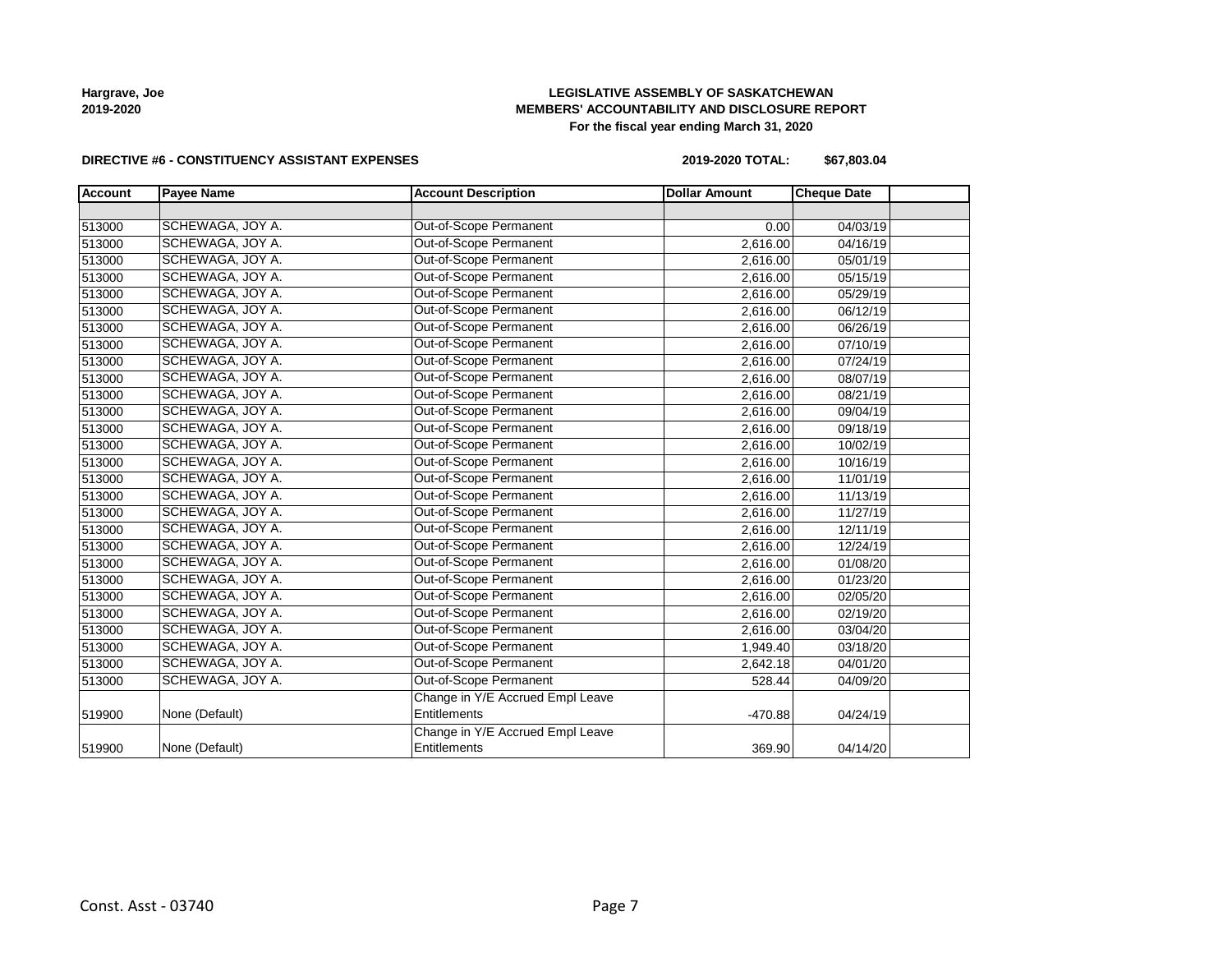## **LEGISLATIVE ASSEMBLY OF SASKATCHEWAN MEMBERS' ACCOUNTABILITY AND DISCLOSURE REPORT For the fiscal year ending March 31, 2020**

### **DIRECTIVE #6 - CONSTITUENCY ASSISTANT EXPENSES**

**2019-2020 TOTAL: \$67,803.04**

| <b>Account</b> | <b>Payee Name</b> | <b>Account Description</b>       | <b>Dollar Amount</b> | <b>Cheque Date</b>    |  |
|----------------|-------------------|----------------------------------|----------------------|-----------------------|--|
|                |                   |                                  |                      |                       |  |
| 513000         | SCHEWAGA, JOY A.  | Out-of-Scope Permanent           | 0.00                 | 04/03/19              |  |
| 513000         | SCHEWAGA, JOY A.  | Out-of-Scope Permanent           | 2,616.00             | 04/16/19              |  |
| 513000         | SCHEWAGA, JOY A.  | Out-of-Scope Permanent           | 2,616.00             | $\overline{05/0}1/19$ |  |
| 513000         | SCHEWAGA, JOY A.  | Out-of-Scope Permanent           | 2,616.00             | 05/15/19              |  |
| 513000         | SCHEWAGA, JOY A.  | Out-of-Scope Permanent           | 2,616.00             | 05/29/19              |  |
| 513000         | SCHEWAGA, JOY A.  | Out-of-Scope Permanent           | 2,616.00             | 06/12/19              |  |
| 513000         | SCHEWAGA, JOY A.  | <b>Out-of-Scope Permanent</b>    | 2,616.00             | 06/26/19              |  |
| 513000         | SCHEWAGA, JOY A.  | Out-of-Scope Permanent           | 2,616.00             | 07/10/19              |  |
| 513000         | SCHEWAGA, JOY A.  | Out-of-Scope Permanent           | 2,616.00             | 07/24/19              |  |
| 513000         | SCHEWAGA, JOY A.  | Out-of-Scope Permanent           | 2,616.00             | 08/07/19              |  |
| 513000         | SCHEWAGA, JOY A.  | Out-of-Scope Permanent           | 2,616.00             | 08/21/19              |  |
| 513000         | SCHEWAGA, JOY A.  | Out-of-Scope Permanent           | 2,616.00             | 09/04/19              |  |
| 513000         | SCHEWAGA, JOY A.  | Out-of-Scope Permanent           | 2,616.00             | 09/18/19              |  |
| 513000         | SCHEWAGA, JOY A.  | Out-of-Scope Permanent           | 2,616.00             | 10/02/19              |  |
| 513000         | SCHEWAGA, JOY A.  | Out-of-Scope Permanent           | 2,616.00             | 10/16/19              |  |
| 513000         | SCHEWAGA, JOY A.  | Out-of-Scope Permanent           | 2,616.00             | 11/01/19              |  |
| 513000         | SCHEWAGA, JOY A.  | Out-of-Scope Permanent           | 2,616.00             | 11/13/19              |  |
| 513000         | SCHEWAGA, JOY A.  | Out-of-Scope Permanent           | 2,616.00             | 11/27/19              |  |
| 513000         | SCHEWAGA, JOY A.  | Out-of-Scope Permanent           | 2,616.00             | 12/11/19              |  |
| 513000         | SCHEWAGA, JOY A.  | Out-of-Scope Permanent           | 2,616.00             | 12/24/19              |  |
| 513000         | SCHEWAGA, JOY A.  | Out-of-Scope Permanent           | 2,616.00             | 01/08/20              |  |
| 513000         | SCHEWAGA, JOY A.  | Out-of-Scope Permanent           | 2,616.00             | 01/23/20              |  |
| 513000         | SCHEWAGA, JOY A.  | Out-of-Scope Permanent           | 2,616.00             | 02/05/20              |  |
| 513000         | SCHEWAGA, JOY A.  | Out-of-Scope Permanent           | 2,616.00             | 02/19/20              |  |
| 513000         | SCHEWAGA, JOY A.  | Out-of-Scope Permanent           | 2,616.00             | 03/04/20              |  |
| 513000         | SCHEWAGA, JOY A.  | Out-of-Scope Permanent           | 1,949.40             | 03/18/20              |  |
| 513000         | SCHEWAGA, JOY A.  | Out-of-Scope Permanent           | 2,642.18             | 04/01/20              |  |
| 513000         | SCHEWAGA, JOY A.  | Out-of-Scope Permanent           | 528.44               | 04/09/20              |  |
|                |                   | Change in Y/E Accrued Empl Leave |                      |                       |  |
| 519900         | None (Default)    | Entitlements                     | $-470.88$            | 04/24/19              |  |
|                |                   | Change in Y/E Accrued Empl Leave |                      |                       |  |
| 519900         | None (Default)    | Entitlements                     | 369.90               | 04/14/20              |  |